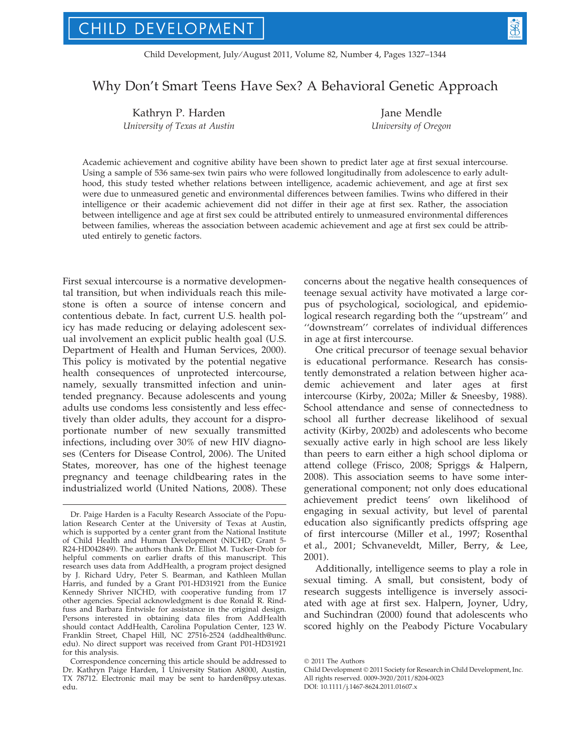# Why Don't Smart Teens Have Sex? A Behavioral Genetic Approach

Kathryn P. Harden University of Texas at Austin

Jane Mendle University of Oregon

Academic achievement and cognitive ability have been shown to predict later age at first sexual intercourse. Using a sample of 536 same-sex twin pairs who were followed longitudinally from adolescence to early adulthood, this study tested whether relations between intelligence, academic achievement, and age at first sex were due to unmeasured genetic and environmental differences between families. Twins who differed in their intelligence or their academic achievement did not differ in their age at first sex. Rather, the association between intelligence and age at first sex could be attributed entirely to unmeasured environmental differences between families, whereas the association between academic achievement and age at first sex could be attributed entirely to genetic factors.

First sexual intercourse is a normative developmental transition, but when individuals reach this milestone is often a source of intense concern and contentious debate. In fact, current U.S. health policy has made reducing or delaying adolescent sexual involvement an explicit public health goal (U.S. Department of Health and Human Services, 2000). This policy is motivated by the potential negative health consequences of unprotected intercourse, namely, sexually transmitted infection and unintended pregnancy. Because adolescents and young adults use condoms less consistently and less effectively than older adults, they account for a disproportionate number of new sexually transmitted infections, including over 30% of new HIV diagnoses (Centers for Disease Control, 2006). The United States, moreover, has one of the highest teenage pregnancy and teenage childbearing rates in the industrialized world (United Nations, 2008). These

concerns about the negative health consequences of teenage sexual activity have motivated a large corpus of psychological, sociological, and epidemiological research regarding both the ''upstream'' and ''downstream'' correlates of individual differences in age at first intercourse.

One critical precursor of teenage sexual behavior is educational performance. Research has consistently demonstrated a relation between higher academic achievement and later ages at first intercourse (Kirby, 2002a; Miller & Sneesby, 1988). School attendance and sense of connectedness to school all further decrease likelihood of sexual activity (Kirby, 2002b) and adolescents who become sexually active early in high school are less likely than peers to earn either a high school diploma or attend college (Frisco, 2008; Spriggs & Halpern, 2008). This association seems to have some intergenerational component; not only does educational achievement predict teens' own likelihood of engaging in sexual activity, but level of parental education also significantly predicts offspring age of first intercourse (Miller et al., 1997; Rosenthal et al., 2001; Schvaneveldt, Miller, Berry, & Lee, 2001).

Additionally, intelligence seems to play a role in sexual timing. A small, but consistent, body of research suggests intelligence is inversely associated with age at first sex. Halpern, Joyner, Udry, and Suchindran (2000) found that adolescents who scored highly on the Peabody Picture Vocabulary

Child Development © 2011 Society for Research in Child Development, Inc. All rights reserved. 0009-3920/2011/8204-0023 DOI: 10.1111/j.1467-8624.2011.01607.x

Dr. Paige Harden is a Faculty Research Associate of the Population Research Center at the University of Texas at Austin, which is supported by a center grant from the National Institute of Child Health and Human Development (NICHD; Grant 5- R24-HD042849). The authors thank Dr. Elliot M. Tucker-Drob for helpful comments on earlier drafts of this manuscript. This research uses data from AddHealth, a program project designed by J. Richard Udry, Peter S. Bearman, and Kathleen Mullan Harris, and funded by a Grant P01-HD31921 from the Eunice Kennedy Shriver NICHD, with cooperative funding from 17 other agencies. Special acknowledgment is due Ronald R. Rindfuss and Barbara Entwisle for assistance in the original design. Persons interested in obtaining data files from AddHealth should contact AddHealth, Carolina Population Center, 123 W. Franklin Street, Chapel Hill, NC 27516-2524 (addhealth@unc. edu). No direct support was received from Grant P01-HD31921 for this analysis.

Correspondence concerning this article should be addressed to Dr. Kathryn Paige Harden, 1 University Station A8000, Austin, TX 78712. Electronic mail may be sent to harden@psy.utexas. edu.

<sup>© 2011</sup> The Authors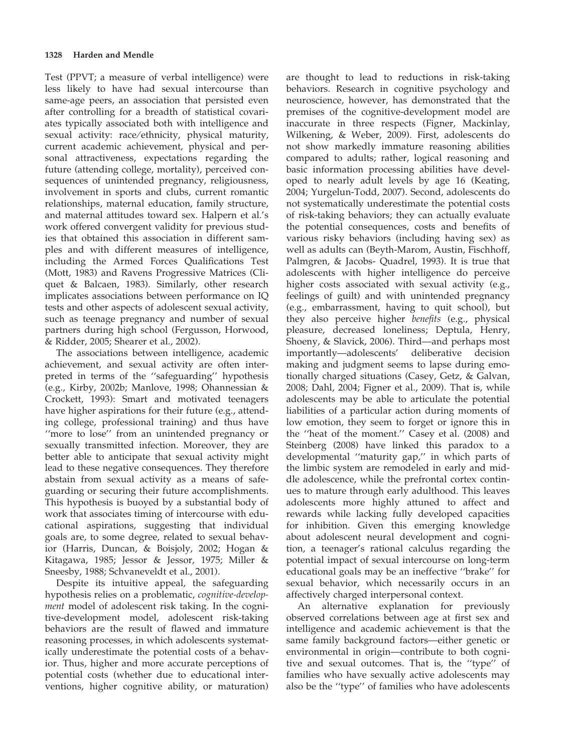Test (PPVT; a measure of verbal intelligence) were less likely to have had sexual intercourse than same-age peers, an association that persisted even after controlling for a breadth of statistical covariates typically associated both with intelligence and sexual activity: race/ethnicity, physical maturity, current academic achievement, physical and personal attractiveness, expectations regarding the future (attending college, mortality), perceived consequences of unintended pregnancy, religiousness, involvement in sports and clubs, current romantic relationships, maternal education, family structure, and maternal attitudes toward sex. Halpern et al.'s work offered convergent validity for previous studies that obtained this association in different samples and with different measures of intelligence, including the Armed Forces Qualifications Test (Mott, 1983) and Ravens Progressive Matrices (Cliquet & Balcaen, 1983). Similarly, other research implicates associations between performance on IQ tests and other aspects of adolescent sexual activity, such as teenage pregnancy and number of sexual partners during high school (Fergusson, Horwood, & Ridder, 2005; Shearer et al., 2002).

The associations between intelligence, academic achievement, and sexual activity are often interpreted in terms of the ''safeguarding'' hypothesis (e.g., Kirby, 2002b; Manlove, 1998; Ohannessian & Crockett, 1993): Smart and motivated teenagers have higher aspirations for their future (e.g., attending college, professional training) and thus have "more to lose" from an unintended pregnancy or sexually transmitted infection. Moreover, they are better able to anticipate that sexual activity might lead to these negative consequences. They therefore abstain from sexual activity as a means of safeguarding or securing their future accomplishments. This hypothesis is buoyed by a substantial body of work that associates timing of intercourse with educational aspirations, suggesting that individual goals are, to some degree, related to sexual behavior (Harris, Duncan, & Boisjoly, 2002; Hogan & Kitagawa, 1985; Jessor & Jessor, 1975; Miller & Sneesby, 1988; Schvaneveldt et al., 2001).

Despite its intuitive appeal, the safeguarding hypothesis relies on a problematic, cognitive-development model of adolescent risk taking. In the cognitive-development model, adolescent risk-taking behaviors are the result of flawed and immature reasoning processes, in which adolescents systematically underestimate the potential costs of a behavior. Thus, higher and more accurate perceptions of potential costs (whether due to educational interventions, higher cognitive ability, or maturation)

are thought to lead to reductions in risk-taking behaviors. Research in cognitive psychology and neuroscience, however, has demonstrated that the premises of the cognitive-development model are inaccurate in three respects (Figner, Mackinlay, Wilkening, & Weber, 2009). First, adolescents do not show markedly immature reasoning abilities compared to adults; rather, logical reasoning and basic information processing abilities have developed to nearly adult levels by age 16 (Keating, 2004; Yurgelun-Todd, 2007). Second, adolescents do not systematically underestimate the potential costs of risk-taking behaviors; they can actually evaluate the potential consequences, costs and benefits of various risky behaviors (including having sex) as well as adults can (Beyth-Marom, Austin, Fischhoff, Palmgren, & Jacobs- Quadrel, 1993). It is true that adolescents with higher intelligence do perceive higher costs associated with sexual activity (e.g., feelings of guilt) and with unintended pregnancy (e.g., embarrassment, having to quit school), but they also perceive higher benefits (e.g., physical pleasure, decreased loneliness; Deptula, Henry, Shoeny, & Slavick, 2006). Third—and perhaps most importantly—adolescents' deliberative decision making and judgment seems to lapse during emotionally charged situations (Casey, Getz, & Galvan, 2008; Dahl, 2004; Figner et al., 2009). That is, while adolescents may be able to articulate the potential liabilities of a particular action during moments of low emotion, they seem to forget or ignore this in the ''heat of the moment.'' Casey et al. (2008) and Steinberg (2008) have linked this paradox to a developmental ''maturity gap,'' in which parts of the limbic system are remodeled in early and middle adolescence, while the prefrontal cortex continues to mature through early adulthood. This leaves adolescents more highly attuned to affect and rewards while lacking fully developed capacities for inhibition. Given this emerging knowledge about adolescent neural development and cognition, a teenager's rational calculus regarding the potential impact of sexual intercourse on long-term educational goals may be an ineffective ''brake'' for sexual behavior, which necessarily occurs in an affectively charged interpersonal context.

An alternative explanation for previously observed correlations between age at first sex and intelligence and academic achievement is that the same family background factors—either genetic or environmental in origin—contribute to both cognitive and sexual outcomes. That is, the ''type'' of families who have sexually active adolescents may also be the ''type'' of families who have adolescents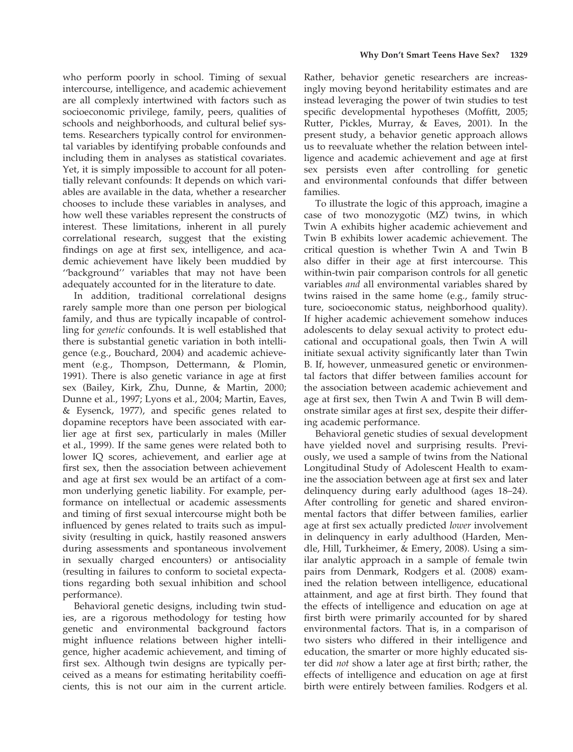who perform poorly in school. Timing of sexual intercourse, intelligence, and academic achievement are all complexly intertwined with factors such as socioeconomic privilege, family, peers, qualities of schools and neighborhoods, and cultural belief systems. Researchers typically control for environmental variables by identifying probable confounds and including them in analyses as statistical covariates. Yet, it is simply impossible to account for all potentially relevant confounds: It depends on which variables are available in the data, whether a researcher chooses to include these variables in analyses, and how well these variables represent the constructs of interest. These limitations, inherent in all purely correlational research, suggest that the existing findings on age at first sex, intelligence, and academic achievement have likely been muddied by

''background'' variables that may not have been

adequately accounted for in the literature to date. In addition, traditional correlational designs rarely sample more than one person per biological family, and thus are typically incapable of controlling for genetic confounds. It is well established that there is substantial genetic variation in both intelligence (e.g., Bouchard, 2004) and academic achievement (e.g., Thompson, Dettermann, & Plomin, 1991). There is also genetic variance in age at first sex (Bailey, Kirk, Zhu, Dunne, & Martin, 2000; Dunne et al., 1997; Lyons et al., 2004; Martin, Eaves, & Eysenck, 1977), and specific genes related to dopamine receptors have been associated with earlier age at first sex, particularly in males (Miller et al., 1999). If the same genes were related both to lower IQ scores, achievement, and earlier age at first sex, then the association between achievement and age at first sex would be an artifact of a common underlying genetic liability. For example, performance on intellectual or academic assessments and timing of first sexual intercourse might both be influenced by genes related to traits such as impulsivity (resulting in quick, hastily reasoned answers during assessments and spontaneous involvement in sexually charged encounters) or antisociality (resulting in failures to conform to societal expectations regarding both sexual inhibition and school performance).

Behavioral genetic designs, including twin studies, are a rigorous methodology for testing how genetic and environmental background factors might influence relations between higher intelligence, higher academic achievement, and timing of first sex. Although twin designs are typically perceived as a means for estimating heritability coefficients, this is not our aim in the current article.

Rather, behavior genetic researchers are increasingly moving beyond heritability estimates and are instead leveraging the power of twin studies to test specific developmental hypotheses (Moffitt, 2005; Rutter, Pickles, Murray, & Eaves, 2001). In the present study, a behavior genetic approach allows us to reevaluate whether the relation between intelligence and academic achievement and age at first sex persists even after controlling for genetic and environmental confounds that differ between families.

To illustrate the logic of this approach, imagine a case of two monozygotic (MZ) twins, in which Twin A exhibits higher academic achievement and Twin B exhibits lower academic achievement. The critical question is whether Twin A and Twin B also differ in their age at first intercourse. This within-twin pair comparison controls for all genetic variables and all environmental variables shared by twins raised in the same home (e.g., family structure, socioeconomic status, neighborhood quality). If higher academic achievement somehow induces adolescents to delay sexual activity to protect educational and occupational goals, then Twin A will initiate sexual activity significantly later than Twin B. If, however, unmeasured genetic or environmental factors that differ between families account for the association between academic achievement and age at first sex, then Twin A and Twin B will demonstrate similar ages at first sex, despite their differing academic performance.

Behavioral genetic studies of sexual development have yielded novel and surprising results. Previously, we used a sample of twins from the National Longitudinal Study of Adolescent Health to examine the association between age at first sex and later delinquency during early adulthood (ages 18–24). After controlling for genetic and shared environmental factors that differ between families, earlier age at first sex actually predicted lower involvement in delinquency in early adulthood (Harden, Mendle, Hill, Turkheimer, & Emery, 2008). Using a similar analytic approach in a sample of female twin pairs from Denmark, Rodgers et al. (2008) examined the relation between intelligence, educational attainment, and age at first birth. They found that the effects of intelligence and education on age at first birth were primarily accounted for by shared environmental factors. That is, in a comparison of two sisters who differed in their intelligence and education, the smarter or more highly educated sister did not show a later age at first birth; rather, the effects of intelligence and education on age at first birth were entirely between families. Rodgers et al.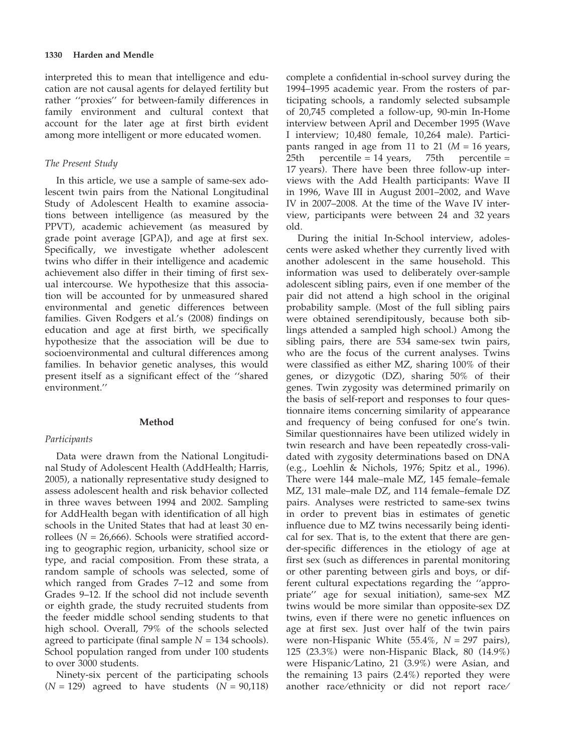interpreted this to mean that intelligence and education are not causal agents for delayed fertility but rather ''proxies'' for between-family differences in family environment and cultural context that account for the later age at first birth evident among more intelligent or more educated women.

## The Present Study

In this article, we use a sample of same-sex adolescent twin pairs from the National Longitudinal Study of Adolescent Health to examine associations between intelligence (as measured by the PPVT), academic achievement (as measured by grade point average [GPA]), and age at first sex. Specifically, we investigate whether adolescent twins who differ in their intelligence and academic achievement also differ in their timing of first sexual intercourse. We hypothesize that this association will be accounted for by unmeasured shared environmental and genetic differences between families. Given Rodgers et al.'s (2008) findings on education and age at first birth, we specifically hypothesize that the association will be due to socioenvironmental and cultural differences among families. In behavior genetic analyses, this would present itself as a significant effect of the ''shared environment.''

### Method

#### Participants

Data were drawn from the National Longitudinal Study of Adolescent Health (AddHealth; Harris, 2005), a nationally representative study designed to assess adolescent health and risk behavior collected in three waves between 1994 and 2002. Sampling for AddHealth began with identification of all high schools in the United States that had at least 30 enrollees ( $N = 26,666$ ). Schools were stratified according to geographic region, urbanicity, school size or type, and racial composition. From these strata, a random sample of schools was selected, some of which ranged from Grades 7–12 and some from Grades 9–12. If the school did not include seventh or eighth grade, the study recruited students from the feeder middle school sending students to that high school. Overall, 79% of the schools selected agreed to participate (final sample  $N = 134$  schools). School population ranged from under 100 students to over 3000 students.

Ninety-six percent of the participating schools  $(N = 129)$  agreed to have students  $(N = 90,118)$ 

complete a confidential in-school survey during the 1994–1995 academic year. From the rosters of participating schools, a randomly selected subsample of 20,745 completed a follow-up, 90-min In-Home interview between April and December 1995 (Wave I interview; 10,480 female, 10,264 male). Participants ranged in age from 11 to 21 ( $M = 16$  years, 25th percentile = 14 years,  $75th$  percentile = 17 years). There have been three follow-up interviews with the Add Health participants: Wave II in 1996, Wave III in August 2001–2002, and Wave IV in 2007–2008. At the time of the Wave IV interview, participants were between 24 and 32 years old.

During the initial In-School interview, adolescents were asked whether they currently lived with another adolescent in the same household. This information was used to deliberately over-sample adolescent sibling pairs, even if one member of the pair did not attend a high school in the original probability sample. (Most of the full sibling pairs were obtained serendipitously, because both siblings attended a sampled high school.) Among the sibling pairs, there are 534 same-sex twin pairs, who are the focus of the current analyses. Twins were classified as either MZ, sharing 100% of their genes, or dizygotic (DZ), sharing 50% of their genes. Twin zygosity was determined primarily on the basis of self-report and responses to four questionnaire items concerning similarity of appearance and frequency of being confused for one's twin. Similar questionnaires have been utilized widely in twin research and have been repeatedly cross-validated with zygosity determinations based on DNA (e.g., Loehlin & Nichols, 1976; Spitz et al., 1996). There were 144 male–male MZ, 145 female–female MZ, 131 male–male DZ, and 114 female–female DZ pairs. Analyses were restricted to same-sex twins in order to prevent bias in estimates of genetic influence due to MZ twins necessarily being identical for sex. That is, to the extent that there are gender-specific differences in the etiology of age at first sex (such as differences in parental monitoring or other parenting between girls and boys, or different cultural expectations regarding the ''appropriate'' age for sexual initiation), same-sex MZ twins would be more similar than opposite-sex DZ twins, even if there were no genetic influences on age at first sex. Just over half of the twin pairs were non-Hispanic White  $(55.4\%, N = 297 \text{ pairs})$ , 125 (23.3%) were non-Hispanic Black, 80 (14.9%) were Hispanic/Latino, 21 (3.9%) were Asian, and the remaining 13 pairs (2.4%) reported they were another race/ethnicity or did not report race/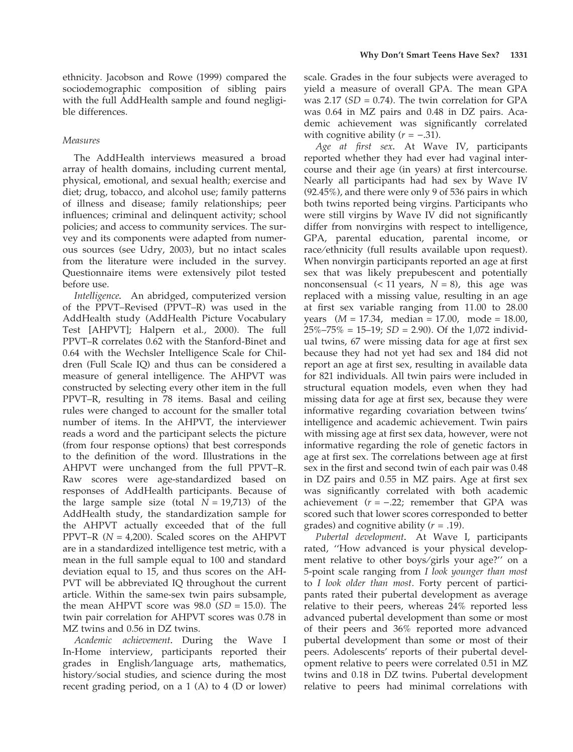ethnicity. Jacobson and Rowe (1999) compared the sociodemographic composition of sibling pairs with the full AddHealth sample and found negligible differences.

# Measures

The AddHealth interviews measured a broad array of health domains, including current mental, physical, emotional, and sexual health; exercise and diet; drug, tobacco, and alcohol use; family patterns of illness and disease; family relationships; peer influences; criminal and delinquent activity; school policies; and access to community services. The survey and its components were adapted from numerous sources (see Udry, 2003), but no intact scales from the literature were included in the survey. Questionnaire items were extensively pilot tested before use.

Intelligence.. An abridged, computerized version of the PPVT–Revised (PPVT–R) was used in the AddHealth study (AddHealth Picture Vocabulary Test [AHPVT]; Halpern et al., 2000). The full PPVT–R correlates 0.62 with the Stanford-Binet and 0.64 with the Wechsler Intelligence Scale for Children (Full Scale IQ) and thus can be considered a measure of general intelligence. The AHPVT was constructed by selecting every other item in the full PPVT–R, resulting in 78 items. Basal and ceiling rules were changed to account for the smaller total number of items. In the AHPVT, the interviewer reads a word and the participant selects the picture (from four response options) that best corresponds to the definition of the word. Illustrations in the AHPVT were unchanged from the full PPVT–R. Raw scores were age-standardized based on responses of AddHealth participants. Because of the large sample size (total  $N = 19,713$ ) of the AddHealth study, the standardization sample for the AHPVT actually exceeded that of the full PPVT–R  $(N = 4,200)$ . Scaled scores on the AHPVT are in a standardized intelligence test metric, with a mean in the full sample equal to 100 and standard deviation equal to 15, and thus scores on the AH-PVT will be abbreviated IQ throughout the current article. Within the same-sex twin pairs subsample, the mean AHPVT score was  $98.0$  (SD = 15.0). The twin pair correlation for AHPVT scores was 0.78 in MZ twins and 0.56 in DZ twins.

Academic achievement. During the Wave I In-Home interview, participants reported their grades in English/language arts, mathematics, history/social studies, and science during the most recent grading period, on a 1 (A) to 4 (D or lower)

scale. Grades in the four subjects were averaged to yield a measure of overall GPA. The mean GPA was  $2.17$  (SD = 0.74). The twin correlation for GPA was 0.64 in MZ pairs and 0.48 in DZ pairs. Academic achievement was significantly correlated with cognitive ability  $(r = -.31)$ .

Age at first sex. At Wave IV, participants reported whether they had ever had vaginal intercourse and their age (in years) at first intercourse. Nearly all participants had had sex by Wave IV (92.45%), and there were only 9 of 536 pairs in which both twins reported being virgins. Participants who were still virgins by Wave IV did not significantly differ from nonvirgins with respect to intelligence, GPA, parental education, parental income, or race/ethnicity (full results available upon request). When nonvirgin participants reported an age at first sex that was likely prepubescent and potentially nonconsensual  $(< 11$  years,  $N = 8$ ), this age was replaced with a missing value, resulting in an age at first sex variable ranging from 11.00 to 28.00 years (M = 17.34, median = 17.00, mode = 18.00,  $25\% - 75\% = 15 - 19$ ;  $SD = 2.90$ ). Of the 1,072 individual twins, 67 were missing data for age at first sex because they had not yet had sex and 184 did not report an age at first sex, resulting in available data for 821 individuals. All twin pairs were included in structural equation models, even when they had missing data for age at first sex, because they were informative regarding covariation between twins' intelligence and academic achievement. Twin pairs with missing age at first sex data, however, were not informative regarding the role of genetic factors in age at first sex. The correlations between age at first sex in the first and second twin of each pair was 0.48 in DZ pairs and 0.55 in MZ pairs. Age at first sex was significantly correlated with both academic achievement ( $r = -.22$ ; remember that GPA was scored such that lower scores corresponded to better grades) and cognitive ability  $(r = .19)$ .

Pubertal development. At Wave I, participants rated, ''How advanced is your physical development relative to other boys/girls your age?" on a 5-point scale ranging from I look younger than most to I look older than most. Forty percent of participants rated their pubertal development as average relative to their peers, whereas 24% reported less advanced pubertal development than some or most of their peers and 36% reported more advanced pubertal development than some or most of their peers. Adolescents' reports of their pubertal development relative to peers were correlated 0.51 in MZ twins and 0.18 in DZ twins. Pubertal development relative to peers had minimal correlations with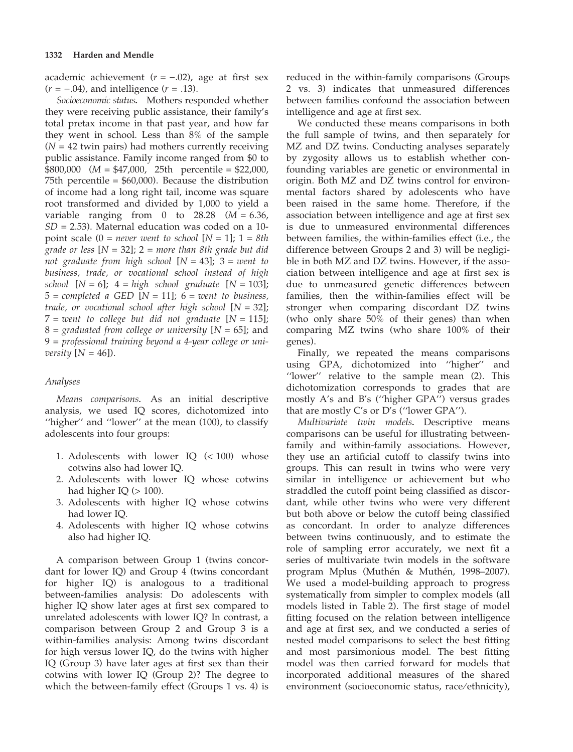academic achievement  $(r = -.02)$ , age at first sex  $(r = -.04)$ , and intelligence  $(r = .13)$ .

Socioeconomic status. Mothers responded whether they were receiving public assistance, their family's total pretax income in that past year, and how far they went in school. Less than 8% of the sample  $(N = 42$  twin pairs) had mothers currently receiving public assistance. Family income ranged from \$0 to  $$800,000$  (*M* = \$47,000, 25th percentile = \$22,000, 75th percentile = \$60,000). Because the distribution of income had a long right tail, income was square root transformed and divided by 1,000 to yield a variable ranging from 0 to  $28.28$  ( $M = 6.36$ ,  $SD = 2.53$ ). Maternal education was coded on a 10point scale  $(0 = never went to school [N = 1]; 1 = 8th$ grade or less  $[N = 32]$ ;  $2 = more than 8th grade but did$ not graduate from high school  $[N = 43]$ ; 3 = went to business, trade, or vocational school instead of high school  $[N = 6]$ ;  $4 = high$  school graduate  $[N = 103]$ ;  $5 =$  completed a GED [N = 11];  $6 =$  went to business, trade, or vocational school after high school  $[N = 32]$ ;  $7 =$  went to college but did not graduate  $[N = 115]$ ;  $8 =$  graduated from college or university  $[N = 65]$ ; and 9 = professional training beyond a 4-year college or university  $[N = 46]$ ).

# Analyses

Means comparisons. As an initial descriptive analysis, we used IQ scores, dichotomized into "higher" and "lower" at the mean (100), to classify adolescents into four groups:

- 1. Adolescents with lower IQ (< 100) whose cotwins also had lower IQ.
- 2. Adolescents with lower IQ whose cotwins had higher  $IQ$  ( $> 100$ ).
- 3. Adolescents with higher IQ whose cotwins had lower IQ.
- 4. Adolescents with higher IQ whose cotwins also had higher IQ.

A comparison between Group 1 (twins concordant for lower IQ) and Group 4 (twins concordant for higher IQ) is analogous to a traditional between-families analysis: Do adolescents with higher IQ show later ages at first sex compared to unrelated adolescents with lower IQ? In contrast, a comparison between Group 2 and Group 3 is a within-families analysis: Among twins discordant for high versus lower IQ, do the twins with higher IQ (Group 3) have later ages at first sex than their cotwins with lower IQ (Group 2)? The degree to which the between-family effect (Groups 1 vs. 4) is

reduced in the within-family comparisons (Groups 2 vs. 3) indicates that unmeasured differences between families confound the association between intelligence and age at first sex.

We conducted these means comparisons in both the full sample of twins, and then separately for MZ and DZ twins. Conducting analyses separately by zygosity allows us to establish whether confounding variables are genetic or environmental in origin. Both MZ and DZ twins control for environmental factors shared by adolescents who have been raised in the same home. Therefore, if the association between intelligence and age at first sex is due to unmeasured environmental differences between families, the within-families effect (i.e., the difference between Groups 2 and 3) will be negligible in both MZ and DZ twins. However, if the association between intelligence and age at first sex is due to unmeasured genetic differences between families, then the within-families effect will be stronger when comparing discordant DZ twins (who only share 50% of their genes) than when comparing MZ twins (who share 100% of their genes).

Finally, we repeated the means comparisons using GPA, dichotomized into ''higher'' and ''lower'' relative to the sample mean (2). This dichotomization corresponds to grades that are mostly A's and B's (''higher GPA'') versus grades that are mostly C's or D's (''lower GPA'').

Multivariate twin models. Descriptive means comparisons can be useful for illustrating betweenfamily and within-family associations. However, they use an artificial cutoff to classify twins into groups. This can result in twins who were very similar in intelligence or achievement but who straddled the cutoff point being classified as discordant, while other twins who were very different but both above or below the cutoff being classified as concordant. In order to analyze differences between twins continuously, and to estimate the role of sampling error accurately, we next fit a series of multivariate twin models in the software program Mplus (Muthén & Muthén, 1998–2007). We used a model-building approach to progress systematically from simpler to complex models (all models listed in Table 2). The first stage of model fitting focused on the relation between intelligence and age at first sex, and we conducted a series of nested model comparisons to select the best fitting and most parsimonious model. The best fitting model was then carried forward for models that incorporated additional measures of the shared environment (socioeconomic status, race/ethnicity),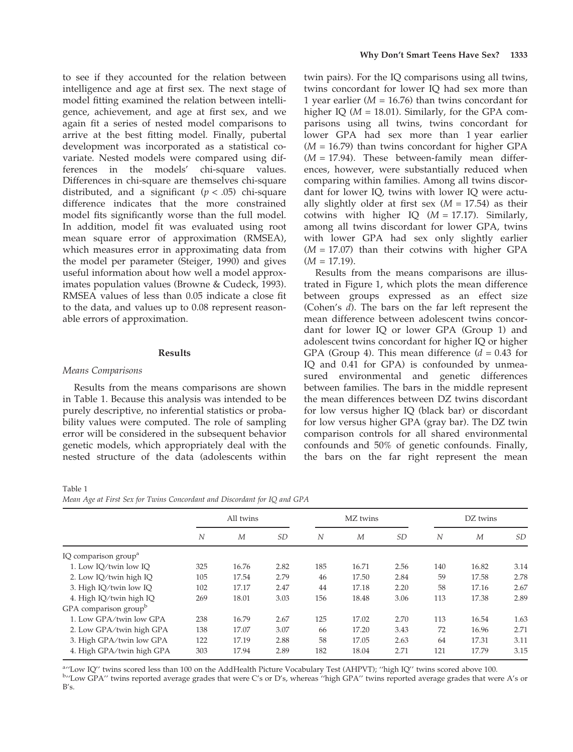to see if they accounted for the relation between intelligence and age at first sex. The next stage of model fitting examined the relation between intelligence, achievement, and age at first sex, and we again fit a series of nested model comparisons to arrive at the best fitting model. Finally, pubertal development was incorporated as a statistical covariate. Nested models were compared using differences in the models' chi-square values. Differences in chi-square are themselves chi-square distributed, and a significant ( $p < .05$ ) chi-square difference indicates that the more constrained model fits significantly worse than the full model. In addition, model fit was evaluated using root mean square error of approximation (RMSEA), which measures error in approximating data from the model per parameter (Steiger, 1990) and gives useful information about how well a model approximates population values (Browne & Cudeck, 1993). RMSEA values of less than 0.05 indicate a close fit to the data, and values up to 0.08 represent reasonable errors of approximation.

#### Results

### Means Comparisons

Table 1

Results from the means comparisons are shown in Table 1. Because this analysis was intended to be purely descriptive, no inferential statistics or probability values were computed. The role of sampling error will be considered in the subsequent behavior genetic models, which appropriately deal with the nested structure of the data (adolescents within

| ravie i |  |  |  |                                                                          |  |
|---------|--|--|--|--------------------------------------------------------------------------|--|
|         |  |  |  | Mean Age at First Sex for Twins Concordant and Discordant for IQ and GPA |  |

twin pairs). For the IQ comparisons using all twins, twins concordant for lower IQ had sex more than 1 year earlier ( $M = 16.76$ ) than twins concordant for higher IQ ( $M = 18.01$ ). Similarly, for the GPA comparisons using all twins, twins concordant for lower GPA had sex more than 1 year earlier  $(M = 16.79)$  than twins concordant for higher GPA  $(M = 17.94)$ . These between-family mean differences, however, were substantially reduced when comparing within families. Among all twins discordant for lower IQ, twins with lower IQ were actually slightly older at first sex  $(M = 17.54)$  as their cotwins with higher IQ (M = 17.17). Similarly, among all twins discordant for lower GPA, twins with lower GPA had sex only slightly earlier  $(M = 17.07)$  than their cotwins with higher GPA  $(M = 17.19)$ .

Results from the means comparisons are illustrated in Figure 1, which plots the mean difference between groups expressed as an effect size (Cohen's d). The bars on the far left represent the mean difference between adolescent twins concordant for lower IQ or lower GPA (Group 1) and adolescent twins concordant for higher IQ or higher GPA (Group 4). This mean difference  $(d = 0.43$  for IQ and 0.41 for GPA) is confounded by unmeasured environmental and genetic differences between families. The bars in the middle represent the mean differences between DZ twins discordant for low versus higher IQ (black bar) or discordant for low versus higher GPA (gray bar). The DZ twin comparison controls for all shared environmental confounds and 50% of genetic confounds. Finally, the bars on the far right represent the mean

|                                   |     | All twins |           |     | MZ twins         |           |     | DZ twins |           |
|-----------------------------------|-----|-----------|-----------|-----|------------------|-----------|-----|----------|-----------|
|                                   | N   | M         | <i>SD</i> | N   | $\boldsymbol{M}$ | <i>SD</i> | N   | M        | <i>SD</i> |
| IQ comparison group <sup>a</sup>  |     |           |           |     |                  |           |     |          |           |
| 1. Low IQ/twin low IO             | 325 | 16.76     | 2.82      | 185 | 16.71            | 2.56      | 140 | 16.82    | 3.14      |
| 2. Low IQ/twin high IQ            | 105 | 17.54     | 2.79      | 46  | 17.50            | 2.84      | 59  | 17.58    | 2.78      |
| 3. High IQ/twin low IQ            | 102 | 17.17     | 2.47      | 44  | 17.18            | 2.20      | 58  | 17.16    | 2.67      |
| 4. High IQ/twin high IQ           | 269 | 18.01     | 3.03      | 156 | 18.48            | 3.06      | 113 | 17.38    | 2.89      |
| GPA comparison group <sup>b</sup> |     |           |           |     |                  |           |     |          |           |
| 1. Low GPA/twin low GPA           | 238 | 16.79     | 2.67      | 125 | 17.02            | 2.70      | 113 | 16.54    | 1.63      |
| 2. Low GPA/twin high GPA          | 138 | 17.07     | 3.07      | 66  | 17.20            | 3.43      | 72  | 16.96    | 2.71      |
| 3. High GPA/twin low GPA          | 122 | 17.19     | 2.88      | 58  | 17.05            | 2.63      | 64  | 17.31    | 3.11      |
| 4. High GPA/twin high GPA         | 303 | 17.94     | 2.89      | 182 | 18.04            | 2.71      | 121 | 17.79    | 3.15      |

<sup>a</sup>''Low IQ'' twins scored less than 100 on the AddHealth Picture Vocabulary Test (AHPVT); ''high IQ'' twins scored above 100.

<sup>b</sup>'Low GPA'' twins reported average grades that were C's or D's, whereas ''high GPA'' twins reported average grades that were A's or B's.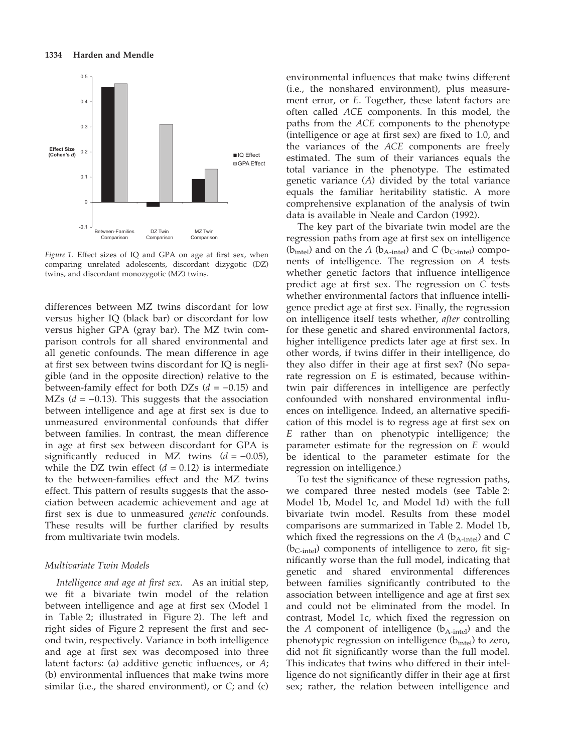#### 1334 Harden and Mendle



Figure 1. Effect sizes of IQ and GPA on age at first sex, when comparing unrelated adolescents, discordant dizygotic (DZ) twins, and discordant monozygotic (MZ) twins.

differences between MZ twins discordant for low versus higher IQ (black bar) or discordant for low versus higher GPA (gray bar). The MZ twin comparison controls for all shared environmental and all genetic confounds. The mean difference in age at first sex between twins discordant for IQ is negligible (and in the opposite direction) relative to the between-family effect for both DZs  $(d = -0.15)$  and MZs ( $d = -0.13$ ). This suggests that the association between intelligence and age at first sex is due to unmeasured environmental confounds that differ between families. In contrast, the mean difference in age at first sex between discordant for GPA is significantly reduced in MZ twins  $(d = -0.05)$ , while the DZ twin effect  $(d = 0.12)$  is intermediate to the between-families effect and the MZ twins effect. This pattern of results suggests that the association between academic achievement and age at first sex is due to unmeasured genetic confounds. These results will be further clarified by results from multivariate twin models.

### Multivariate Twin Models

Intelligence and age at first sex. As an initial step, we fit a bivariate twin model of the relation between intelligence and age at first sex (Model 1 in Table 2; illustrated in Figure 2). The left and right sides of Figure 2 represent the first and second twin, respectively. Variance in both intelligence and age at first sex was decomposed into three latent factors: (a) additive genetic influences, or A; (b) environmental influences that make twins more similar (i.e., the shared environment), or C; and (c) environmental influences that make twins different (i.e., the nonshared environment), plus measurement error, or E. Together, these latent factors are often called ACE components. In this model, the paths from the ACE components to the phenotype (intelligence or age at first sex) are fixed to 1.0, and the variances of the ACE components are freely estimated. The sum of their variances equals the total variance in the phenotype. The estimated genetic variance (A) divided by the total variance equals the familiar heritability statistic. A more comprehensive explanation of the analysis of twin data is available in Neale and Cardon (1992).

The key part of the bivariate twin model are the regression paths from age at first sex on intelligence  $(b_{\text{intel}})$  and on the A  $(b_{\text{A-intel}})$  and C  $(b_{\text{C-intel}})$  components of intelligence. The regression on A tests whether genetic factors that influence intelligence predict age at first sex. The regression on C tests whether environmental factors that influence intelligence predict age at first sex. Finally, the regression on intelligence itself tests whether, after controlling for these genetic and shared environmental factors, higher intelligence predicts later age at first sex. In other words, if twins differ in their intelligence, do they also differ in their age at first sex? (No separate regression on  $E$  is estimated, because withintwin pair differences in intelligence are perfectly confounded with nonshared environmental influences on intelligence. Indeed, an alternative specification of this model is to regress age at first sex on E rather than on phenotypic intelligence; the parameter estimate for the regression on E would be identical to the parameter estimate for the regression on intelligence.)

To test the significance of these regression paths, we compared three nested models (see Table 2: Model 1b, Model 1c, and Model 1d) with the full bivariate twin model. Results from these model comparisons are summarized in Table 2. Model 1b, which fixed the regressions on the  $A$  ( $b_{A-intel}$ ) and C  $(b_{\text{C-intel}})$  components of intelligence to zero, fit significantly worse than the full model, indicating that genetic and shared environmental differences between families significantly contributed to the association between intelligence and age at first sex and could not be eliminated from the model. In contrast, Model 1c, which fixed the regression on the A component of intelligence  $(b_{A-intel})$  and the phenotypic regression on intelligence  $(b<sub>intel</sub>)$  to zero, did not fit significantly worse than the full model. This indicates that twins who differed in their intelligence do not significantly differ in their age at first sex; rather, the relation between intelligence and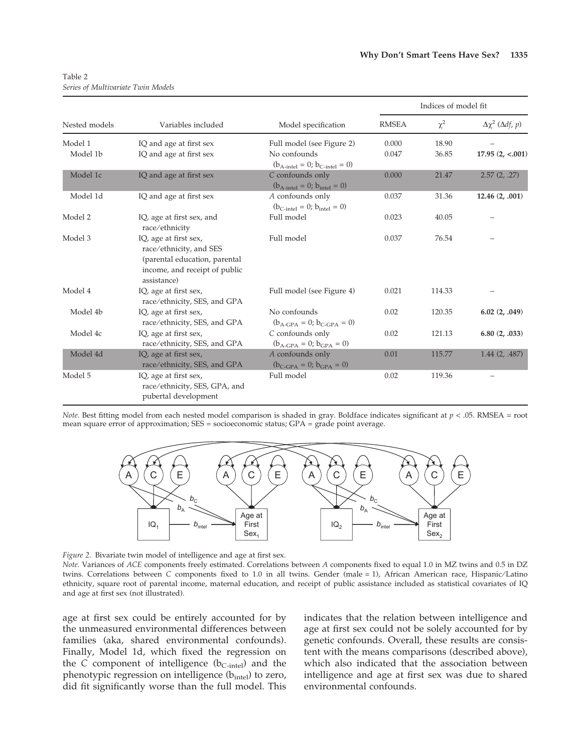| Table 2 |                                    |  |
|---------|------------------------------------|--|
|         | Series of Multivariate Twin Models |  |

|               |                                                                                                                                   |                                                                      |              | Indices of model fit |                                    |
|---------------|-----------------------------------------------------------------------------------------------------------------------------------|----------------------------------------------------------------------|--------------|----------------------|------------------------------------|
| Nested models | Variables included                                                                                                                | Model specification                                                  | <b>RMSEA</b> | $\chi^2$             | $\Delta \chi^2$ ( $\Delta df$ , p) |
| Model 1       | IQ and age at first sex                                                                                                           | Full model (see Figure 2)                                            | 0.000        | 18.90                |                                    |
| Model 1b      | IQ and age at first sex                                                                                                           | No confounds<br>$(b_{A-intel} = 0; b_{C-intel} = 0)$                 | 0.047        | 36.85                | 17.95(2, <.001)                    |
| Model 1c      | IQ and age at first sex                                                                                                           | C confounds only<br>$(b_{A-intel} = 0; b_{intel} = 0)$               | 0.000        | 21.47                | 2.57(2, .27)                       |
| Model 1d      | IQ and age at first sex                                                                                                           | A confounds only<br>$(b_{\text{C-intel}} = 0; b_{\text{intel}} = 0)$ | 0.037        | 31.36                | 12.46(2, .001)                     |
| Model 2       | IQ, age at first sex, and<br>race/ethnicity                                                                                       | Full model                                                           | 0.023        | 40.05                |                                    |
| Model 3       | IQ, age at first sex,<br>race/ethnicity, and SES<br>(parental education, parental<br>income, and receipt of public<br>assistance) | Full model                                                           | 0.037        | 76.54                |                                    |
| Model 4       | IQ, age at first sex,<br>race/ethnicity, SES, and GPA                                                                             | Full model (see Figure 4)                                            | 0.021        | 114.33               |                                    |
| Model 4b      | IQ, age at first sex,<br>race/ethnicity, SES, and GPA                                                                             | No confounds<br>$(b_{A-CPA} = 0; b_{C-CPA} = 0)$                     | 0.02         | 120.35               | 6.02(2, .049)                      |
| Model 4c      | IQ, age at first sex,<br>race/ethnicity, SES, and GPA                                                                             | C confounds only<br>$(b_{A\text{-GPA}} = 0; b_{\text{GPA}} = 0)$     | 0.02         | 121.13               | 6.80(2, .033)                      |
| Model 4d      | IQ, age at first sex,<br>race/ethnicity, SES, and GPA                                                                             | A confounds only<br>$(b_{C-CPA} = 0; b_{CPA} = 0)$                   | 0.01         | 115.77               | 1.44(2, .487)                      |
| Model 5       | IQ, age at first sex,<br>race/ethnicity, SES, GPA, and<br>pubertal development                                                    | Full model                                                           | 0.02         | 119.36               |                                    |

Note. Best fitting model from each nested model comparison is shaded in gray. Boldface indicates significant at  $p < .05$ . RMSEA = root mean square error of approximation; SES = socioeconomic status; GPA = grade point average.



Figure 2. Bivariate twin model of intelligence and age at first sex.

Note. Variances of ACE components freely estimated. Correlations between A components fixed to equal 1.0 in MZ twins and 0.5 in DZ twins. Correlations between C components fixed to 1.0 in all twins. Gender (male = 1), African American race, Hispanic/Latino ethnicity, square root of parental income, maternal education, and receipt of public assistance included as statistical covariates of IQ and age at first sex (not illustrated).

age at first sex could be entirely accounted for by the unmeasured environmental differences between families (aka, shared environmental confounds). Finally, Model 1d, which fixed the regression on the C component of intelligence  $(b_{C-intel})$  and the phenotypic regression on intelligence (b<sub>intel</sub>) to zero, did fit significantly worse than the full model. This indicates that the relation between intelligence and age at first sex could not be solely accounted for by genetic confounds. Overall, these results are consistent with the means comparisons (described above), which also indicated that the association between intelligence and age at first sex was due to shared environmental confounds.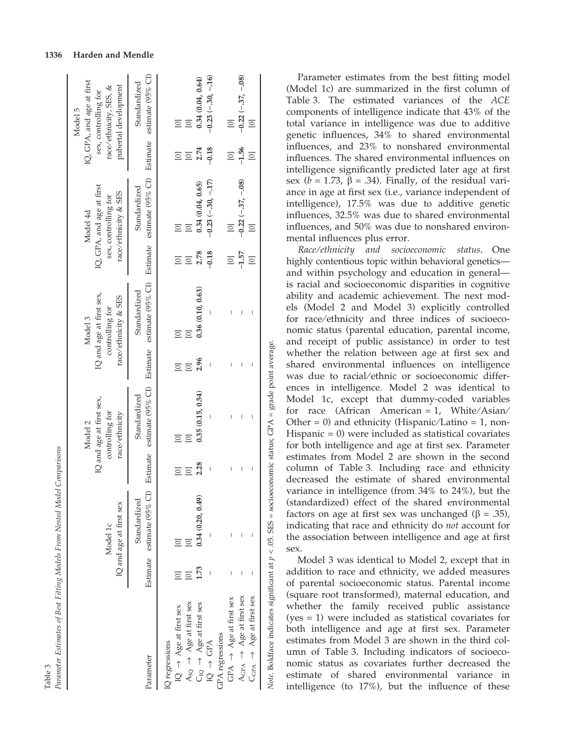|                                                      |                      | IQ and age at first sex<br>Model 1c    |       | IQ and age at first sex,<br>controlling for<br>race/ethnicity<br>Model 2                                                        |       | IQ and age at first sex,<br>race/ethnicity & SES<br>controlling for<br>Model 3 |         | IQ, GPA, and age at first<br>race/ethnicity & SES<br>sex, controlling for<br>Model 4d |         | IQ, GPA, and age at first<br>pubertal development<br>race/ethnicity, SES, &<br>sex, controlling for<br>Model 5 |
|------------------------------------------------------|----------------------|----------------------------------------|-------|---------------------------------------------------------------------------------------------------------------------------------|-------|--------------------------------------------------------------------------------|---------|---------------------------------------------------------------------------------------|---------|----------------------------------------------------------------------------------------------------------------|
| Parameter                                            |                      | Standardized<br>Estimate estimate (95% |       | CI) Estimate estimate (95% CI) Estimate estimate (95% CI) Estimate estimate (95% CI) Estimate estimate (95% CI)<br>Standardized |       | Standardized                                                                   |         | Standardized                                                                          |         | Standardized                                                                                                   |
| IQ regressions                                       | $\Xi$                | $\Xi$                                  | $\Xi$ | $\Xi$                                                                                                                           | $\Xi$ | $\Xi$                                                                          | $\Xi$   |                                                                                       | $\Xi$   | $\Xi$                                                                                                          |
| $IQ \rightarrow Age$ at first sex                    |                      |                                        |       |                                                                                                                                 |       |                                                                                |         |                                                                                       |         |                                                                                                                |
| $A_{IQ} \rightarrow Age$ at first sex                | $\overline{\square}$ | $\overline{a}$                         | $\Xi$ | $\overline{a}$                                                                                                                  | $\Xi$ | $\Box$                                                                         | $\Xi$   | $\overline{\Xi}$                                                                      | $\Xi$   | $\Box$                                                                                                         |
| $C_{IQ} \rightarrow Age$ at first sex                | 1.73                 | 0.34(0.20, 0.49)                       | 2.28  | 0.35(0.15, 0.54)                                                                                                                | 2.96  | 0.36(0.10, 0.63)                                                               | 2.78    | 0.34(0.04, 0.65)                                                                      | 2.74    | 0.34(0.04, 0.64)                                                                                               |
| $IQ \rightarrow CPA$                                 |                      |                                        |       |                                                                                                                                 |       |                                                                                | $-0.18$ | $-0.23(-.30, -17)$                                                                    | $-0.18$ | $-0.23(-.30, -16)$                                                                                             |
| GPA regressions                                      |                      |                                        |       |                                                                                                                                 |       |                                                                                |         |                                                                                       |         |                                                                                                                |
| $GPA \rightarrow Age$ at first sex                   |                      |                                        | I     | Ī                                                                                                                               | I     | Ī                                                                              | $\Xi$   |                                                                                       | $\Xi$   |                                                                                                                |
| $A_{\rm GPA} \rightarrow A_{\rm ge}$ at first sex    |                      |                                        | I     | I                                                                                                                               | I     | I                                                                              | $-1.57$ | $-0.22(-.37, -.08)$                                                                   | $-1.56$ | $-0.22(-.37, -.08)$                                                                                            |
| $C_{\text{GPA}} \rightarrow \text{Age}$ at first sex |                      |                                        | Ī     | $\overline{\phantom{a}}$                                                                                                        |       | Ī                                                                              | $\Xi$   | $\Xi$                                                                                 | $\Xi$   | $\Box$                                                                                                         |

Table 3

Parameter estimates from the best fitting model (Model 1c) are summarized in the first column of Table 3. The estimated variances of the ACE components of intelligence indicate that 43% of the total variance in intelligence was due to additive genetic influences, 34% to shared environmental influences, and 23% to nonshared environmental influences. The shared environmental influences on intelligence significantly predicted later age at first sex ( $b = 1.73$ ,  $\beta = .34$ ). Finally, of the residual variance in age at first sex (i.e., variance independent of intelligence), 17.5% was due to additive genetic influences, 32.5% was due to shared environmental influences, and 50% was due to nonshared environmental influences plus error.

Race/ethnicity and socioeconomic status. One highly contentious topic within behavioral genetics and within psychology and education in general is racial and socioeconomic disparities in cognitive ability and academic achievement. The next models (Model 2 and Model 3) explicitly controlled for race ⁄ ethnicity and three indices of socioeconomic status (parental education, parental income, and receipt of public assistance) in order to test whether the relation between age at first sex and shared environmental influences on intelligence was due to racial/ethnic or socioeconomic differences in intelligence. Model 2 was identical to Model 1c, except that dummy-coded variables for race (African American = 1, White/Asian/ Other = 0) and ethnicity (Hispanic/Latino = 1, non-Hispanic = 0) were included as statistical covariates for both intelligence and age at first sex. Parameter estimates from Model 2 are shown in the second column of Table 3. Including race and ethnicity decreased the estimate of shared environmental variance in intelligence (from 34% to 24%), but the (standardized) effect of the shared environmental factors on age at first sex was unchanged ( $\beta = .35$ ), indicating that race and ethnicity do not account for the association between intelligence and age at first sex.

Model 3 was identical to Model 2, except that in addition to race and ethnicity, we added measures of parental socioeconomic status. Parental income (square root transformed), maternal education, and whether the family received public assistance (yes = 1) were included as statistical covariates for both intelligence and age at first sex. Parameter estimates from Model 3 are shown in the third column of Table 3. Including indicators of socioeconomic status as covariates further decreased the estimate of shared environmental variance in intelligence (to 17%), but the influence of these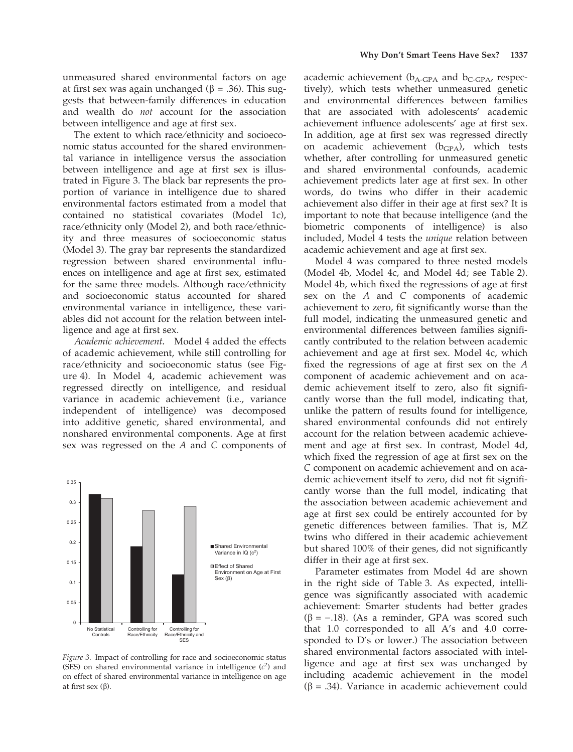The extent to which race/ethnicity and socioeconomic status accounted for the shared environmental variance in intelligence versus the association between intelligence and age at first sex is illustrated in Figure 3. The black bar represents the proportion of variance in intelligence due to shared environmental factors estimated from a model that contained no statistical covariates (Model 1c), race ⁄ ethnicity only (Model 2), and both race ⁄ ethnicity and three measures of socioeconomic status (Model 3). The gray bar represents the standardized regression between shared environmental influences on intelligence and age at first sex, estimated for the same three models. Although race/ethnicity and socioeconomic status accounted for shared environmental variance in intelligence, these variables did not account for the relation between intelligence and age at first sex.

Academic achievement. Model 4 added the effects of academic achievement, while still controlling for race ⁄ ethnicity and socioeconomic status (see Figure 4). In Model 4, academic achievement was regressed directly on intelligence, and residual variance in academic achievement (i.e., variance independent of intelligence) was decomposed into additive genetic, shared environmental, and nonshared environmental components. Age at first sex was regressed on the A and C components of



Figure 3. Impact of controlling for race and socioeconomic status (SES) on shared environmental variance in intelligence  $(c<sup>2</sup>)$  and on effect of shared environmental variance in intelligence on age at first sex  $(\beta)$ .

academic achievement ( $b_{A-GPA}$  and  $b_{C-GPA}$ , respectively), which tests whether unmeasured genetic and environmental differences between families that are associated with adolescents' academic achievement influence adolescents' age at first sex. In addition, age at first sex was regressed directly on academic achievement  $(b_{GPA})$ , which tests whether, after controlling for unmeasured genetic and shared environmental confounds, academic achievement predicts later age at first sex. In other words, do twins who differ in their academic achievement also differ in their age at first sex? It is important to note that because intelligence (and the biometric components of intelligence) is also included, Model 4 tests the unique relation between academic achievement and age at first sex.

Model 4 was compared to three nested models (Model 4b, Model 4c, and Model 4d; see Table 2). Model 4b, which fixed the regressions of age at first sex on the  $A$  and  $C$  components of academic achievement to zero, fit significantly worse than the full model, indicating the unmeasured genetic and environmental differences between families significantly contributed to the relation between academic achievement and age at first sex. Model 4c, which fixed the regressions of age at first sex on the A component of academic achievement and on academic achievement itself to zero, also fit significantly worse than the full model, indicating that, unlike the pattern of results found for intelligence, shared environmental confounds did not entirely account for the relation between academic achievement and age at first sex. In contrast, Model 4d, which fixed the regression of age at first sex on the C component on academic achievement and on academic achievement itself to zero, did not fit significantly worse than the full model, indicating that the association between academic achievement and age at first sex could be entirely accounted for by genetic differences between families. That is, MZ twins who differed in their academic achievement but shared 100% of their genes, did not significantly differ in their age at first sex.

Parameter estimates from Model 4d are shown in the right side of Table 3. As expected, intelligence was significantly associated with academic achievement: Smarter students had better grades ( $\beta$  = -.18). (As a reminder, GPA was scored such that 1.0 corresponded to all A's and 4.0 corresponded to D's or lower.) The association between shared environmental factors associated with intelligence and age at first sex was unchanged by including academic achievement in the model ( $\beta$  = .34). Variance in academic achievement could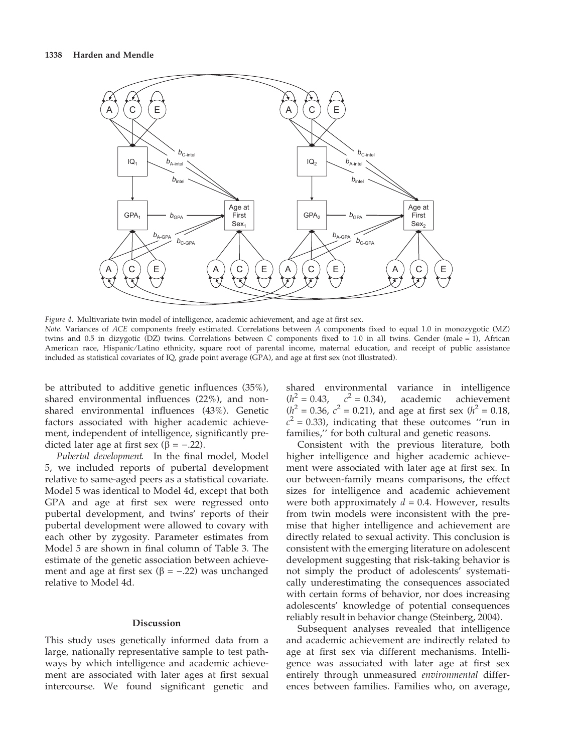

Figure 4. Multivariate twin model of intelligence, academic achievement, and age at first sex. Note. Variances of ACE components freely estimated. Correlations between A components fixed to equal 1.0 in monozygotic (MZ) twins and 0.5 in dizygotic (DZ) twins. Correlations between C components fixed to 1.0 in all twins. Gender (male = 1), African American race, Hispanic/Latino ethnicity, square root of parental income, maternal education, and receipt of public assistance included as statistical covariates of IQ, grade point average (GPA), and age at first sex (not illustrated).

be attributed to additive genetic influences (35%), shared environmental influences (22%), and nonshared environmental influences (43%). Genetic factors associated with higher academic achievement, independent of intelligence, significantly predicted later age at first sex ( $\beta = -.22$ ).

Pubertal development. In the final model, Model 5, we included reports of pubertal development relative to same-aged peers as a statistical covariate. Model 5 was identical to Model 4d, except that both GPA and age at first sex were regressed onto pubertal development, and twins' reports of their pubertal development were allowed to covary with each other by zygosity. Parameter estimates from Model 5 are shown in final column of Table 3. The estimate of the genetic association between achievement and age at first sex ( $\beta$  = -.22) was unchanged relative to Model 4d.

#### Discussion

This study uses genetically informed data from a large, nationally representative sample to test pathways by which intelligence and academic achievement are associated with later ages at first sexual intercourse. We found significant genetic and

shared environmental variance in intelligence  $(h^2 = 0.43,$   $c^2 = 0.34),$ academic achievement  $(h^2 = 0.36, c^2 = 0.21)$ , and age at first sex  $(h^2 = 0.18, c^2 = 0.18)$  $c<sup>2</sup> = 0.33$ ), indicating that these outcomes "run in families,'' for both cultural and genetic reasons.

Consistent with the previous literature, both higher intelligence and higher academic achievement were associated with later age at first sex. In our between-family means comparisons, the effect sizes for intelligence and academic achievement were both approximately  $d = 0.4$ . However, results from twin models were inconsistent with the premise that higher intelligence and achievement are directly related to sexual activity. This conclusion is consistent with the emerging literature on adolescent development suggesting that risk-taking behavior is not simply the product of adolescents' systematically underestimating the consequences associated with certain forms of behavior, nor does increasing adolescents' knowledge of potential consequences reliably result in behavior change (Steinberg, 2004).

Subsequent analyses revealed that intelligence and academic achievement are indirectly related to age at first sex via different mechanisms. Intelligence was associated with later age at first sex entirely through unmeasured environmental differences between families. Families who, on average,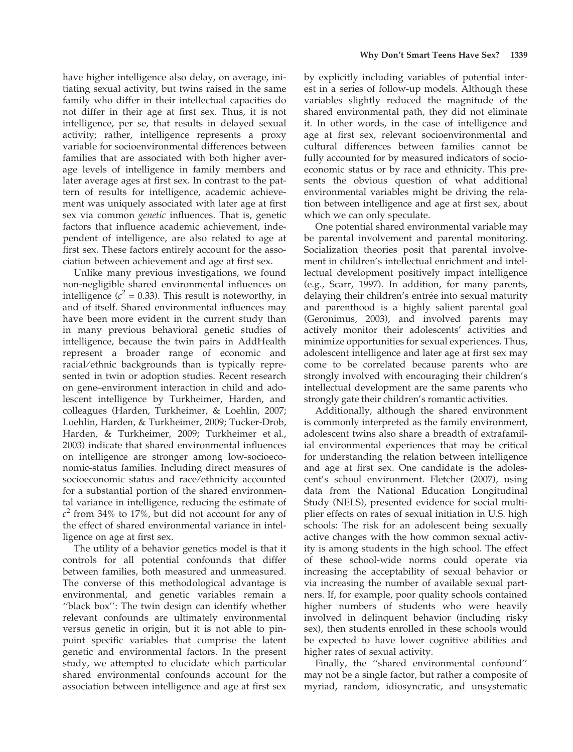have higher intelligence also delay, on average, initiating sexual activity, but twins raised in the same family who differ in their intellectual capacities do not differ in their age at first sex. Thus, it is not intelligence, per se, that results in delayed sexual activity; rather, intelligence represents a proxy variable for socioenvironmental differences between families that are associated with both higher average levels of intelligence in family members and later average ages at first sex. In contrast to the pattern of results for intelligence, academic achievement was uniquely associated with later age at first sex via common genetic influences. That is, genetic factors that influence academic achievement, independent of intelligence, are also related to age at first sex. These factors entirely account for the association between achievement and age at first sex.

Unlike many previous investigations, we found non-negligible shared environmental influences on intelligence ( $c^2$  = 0.33). This result is noteworthy, in and of itself. Shared environmental influences may have been more evident in the current study than in many previous behavioral genetic studies of intelligence, because the twin pairs in AddHealth represent a broader range of economic and racial/ethnic backgrounds than is typically represented in twin or adoption studies. Recent research on gene–environment interaction in child and adolescent intelligence by Turkheimer, Harden, and colleagues (Harden, Turkheimer, & Loehlin, 2007; Loehlin, Harden, & Turkheimer, 2009; Tucker-Drob, Harden, & Turkheimer, 2009; Turkheimer et al., 2003) indicate that shared environmental influences on intelligence are stronger among low-socioeconomic-status families. Including direct measures of socioeconomic status and race/ethnicity accounted for a substantial portion of the shared environmental variance in intelligence, reducing the estimate of  $c<sup>2</sup>$  from 34% to 17%, but did not account for any of the effect of shared environmental variance in intelligence on age at first sex.

The utility of a behavior genetics model is that it controls for all potential confounds that differ between families, both measured and unmeasured. The converse of this methodological advantage is environmental, and genetic variables remain a ''black box'': The twin design can identify whether relevant confounds are ultimately environmental versus genetic in origin, but it is not able to pinpoint specific variables that comprise the latent genetic and environmental factors. In the present study, we attempted to elucidate which particular shared environmental confounds account for the association between intelligence and age at first sex

by explicitly including variables of potential interest in a series of follow-up models. Although these variables slightly reduced the magnitude of the shared environmental path, they did not eliminate it. In other words, in the case of intelligence and age at first sex, relevant socioenvironmental and cultural differences between families cannot be fully accounted for by measured indicators of socioeconomic status or by race and ethnicity. This presents the obvious question of what additional environmental variables might be driving the relation between intelligence and age at first sex, about which we can only speculate.

One potential shared environmental variable may be parental involvement and parental monitoring. Socialization theories posit that parental involvement in children's intellectual enrichment and intellectual development positively impact intelligence (e.g., Scarr, 1997). In addition, for many parents, delaying their children's entrée into sexual maturity and parenthood is a highly salient parental goal (Geronimus, 2003), and involved parents may actively monitor their adolescents' activities and minimize opportunities for sexual experiences. Thus, adolescent intelligence and later age at first sex may come to be correlated because parents who are strongly involved with encouraging their children's intellectual development are the same parents who strongly gate their children's romantic activities.

Additionally, although the shared environment is commonly interpreted as the family environment, adolescent twins also share a breadth of extrafamilial environmental experiences that may be critical for understanding the relation between intelligence and age at first sex. One candidate is the adolescent's school environment. Fletcher (2007), using data from the National Education Longitudinal Study (NELS), presented evidence for social multiplier effects on rates of sexual initiation in U.S. high schools: The risk for an adolescent being sexually active changes with the how common sexual activity is among students in the high school. The effect of these school-wide norms could operate via increasing the acceptability of sexual behavior or via increasing the number of available sexual partners. If, for example, poor quality schools contained higher numbers of students who were heavily involved in delinquent behavior (including risky sex), then students enrolled in these schools would be expected to have lower cognitive abilities and higher rates of sexual activity.

Finally, the ''shared environmental confound'' may not be a single factor, but rather a composite of myriad, random, idiosyncratic, and unsystematic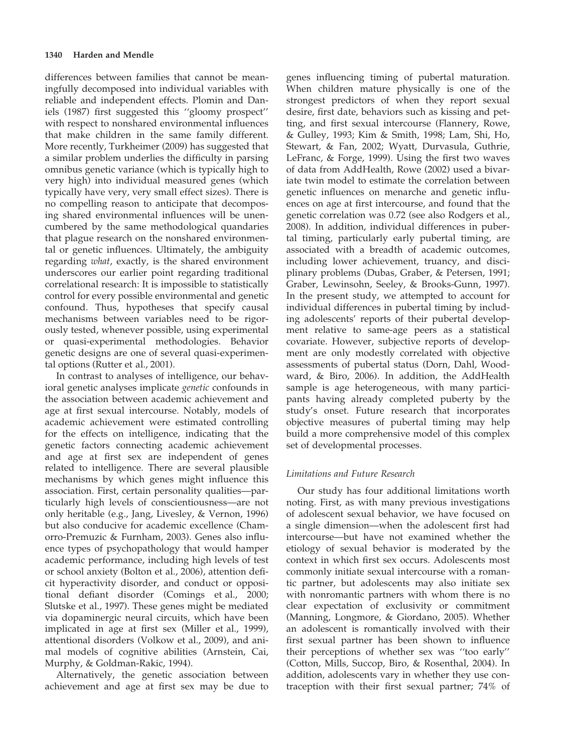differences between families that cannot be meaningfully decomposed into individual variables with reliable and independent effects. Plomin and Daniels (1987) first suggested this ''gloomy prospect'' with respect to nonshared environmental influences that make children in the same family different. More recently, Turkheimer (2009) has suggested that a similar problem underlies the difficulty in parsing omnibus genetic variance (which is typically high to very high) into individual measured genes (which typically have very, very small effect sizes). There is no compelling reason to anticipate that decomposing shared environmental influences will be unencumbered by the same methodological quandaries that plague research on the nonshared environmental or genetic influences. Ultimately, the ambiguity regarding what, exactly, is the shared environment underscores our earlier point regarding traditional correlational research: It is impossible to statistically control for every possible environmental and genetic confound. Thus, hypotheses that specify causal mechanisms between variables need to be rigorously tested, whenever possible, using experimental or quasi-experimental methodologies. Behavior genetic designs are one of several quasi-experimental options (Rutter et al., 2001).

In contrast to analyses of intelligence, our behavioral genetic analyses implicate genetic confounds in the association between academic achievement and age at first sexual intercourse. Notably, models of academic achievement were estimated controlling for the effects on intelligence, indicating that the genetic factors connecting academic achievement and age at first sex are independent of genes related to intelligence. There are several plausible mechanisms by which genes might influence this association. First, certain personality qualities—particularly high levels of conscientiousness—are not only heritable (e.g., Jang, Livesley, & Vernon, 1996) but also conducive for academic excellence (Chamorro-Premuzic & Furnham, 2003). Genes also influence types of psychopathology that would hamper academic performance, including high levels of test or school anxiety (Bolton et al., 2006), attention deficit hyperactivity disorder, and conduct or oppositional defiant disorder (Comings et al., 2000; Slutske et al., 1997). These genes might be mediated via dopaminergic neural circuits, which have been implicated in age at first sex (Miller et al., 1999), attentional disorders (Volkow et al., 2009), and animal models of cognitive abilities (Arnstein, Cai, Murphy, & Goldman-Rakic, 1994).

Alternatively, the genetic association between achievement and age at first sex may be due to

genes influencing timing of pubertal maturation. When children mature physically is one of the strongest predictors of when they report sexual desire, first date, behaviors such as kissing and petting, and first sexual intercourse (Flannery, Rowe, & Gulley, 1993; Kim & Smith, 1998; Lam, Shi, Ho, Stewart, & Fan, 2002; Wyatt, Durvasula, Guthrie, LeFranc, & Forge, 1999). Using the first two waves of data from AddHealth, Rowe (2002) used a bivariate twin model to estimate the correlation between genetic influences on menarche and genetic influences on age at first intercourse, and found that the genetic correlation was 0.72 (see also Rodgers et al., 2008). In addition, individual differences in pubertal timing, particularly early pubertal timing, are associated with a breadth of academic outcomes, including lower achievement, truancy, and disciplinary problems (Dubas, Graber, & Petersen, 1991; Graber, Lewinsohn, Seeley, & Brooks-Gunn, 1997). In the present study, we attempted to account for individual differences in pubertal timing by including adolescents' reports of their pubertal development relative to same-age peers as a statistical covariate. However, subjective reports of development are only modestly correlated with objective assessments of pubertal status (Dorn, Dahl, Woodward, & Biro, 2006). In addition, the AddHealth sample is age heterogeneous, with many participants having already completed puberty by the study's onset. Future research that incorporates objective measures of pubertal timing may help build a more comprehensive model of this complex set of developmental processes.

# Limitations and Future Research

Our study has four additional limitations worth noting. First, as with many previous investigations of adolescent sexual behavior, we have focused on a single dimension—when the adolescent first had intercourse—but have not examined whether the etiology of sexual behavior is moderated by the context in which first sex occurs. Adolescents most commonly initiate sexual intercourse with a romantic partner, but adolescents may also initiate sex with nonromantic partners with whom there is no clear expectation of exclusivity or commitment (Manning, Longmore, & Giordano, 2005). Whether an adolescent is romantically involved with their first sexual partner has been shown to influence their perceptions of whether sex was ''too early'' (Cotton, Mills, Succop, Biro, & Rosenthal, 2004). In addition, adolescents vary in whether they use contraception with their first sexual partner; 74% of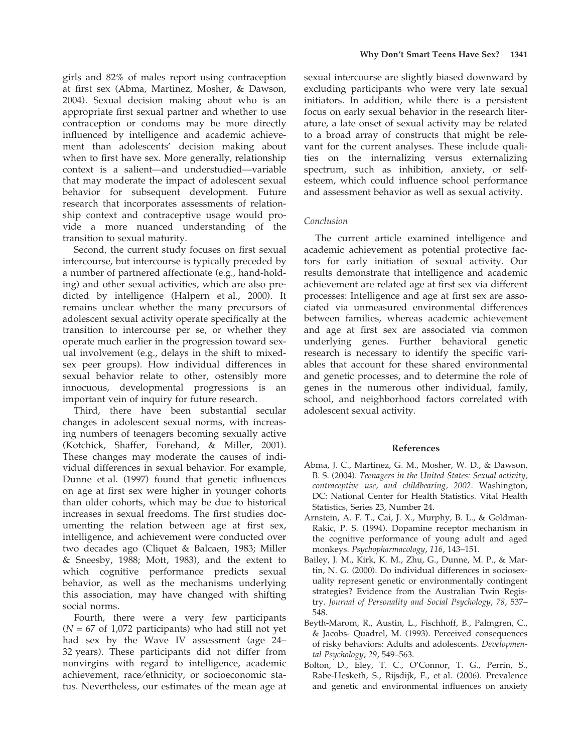girls and 82% of males report using contraception at first sex (Abma, Martinez, Mosher, & Dawson, 2004). Sexual decision making about who is an appropriate first sexual partner and whether to use contraception or condoms may be more directly influenced by intelligence and academic achievement than adolescents' decision making about when to first have sex. More generally, relationship context is a salient—and understudied—variable that may moderate the impact of adolescent sexual behavior for subsequent development. Future research that incorporates assessments of relationship context and contraceptive usage would provide a more nuanced understanding of the transition to sexual maturity.

Second, the current study focuses on first sexual intercourse, but intercourse is typically preceded by a number of partnered affectionate (e.g., hand-holding) and other sexual activities, which are also predicted by intelligence (Halpern et al., 2000). It remains unclear whether the many precursors of adolescent sexual activity operate specifically at the transition to intercourse per se, or whether they operate much earlier in the progression toward sexual involvement (e.g., delays in the shift to mixedsex peer groups). How individual differences in sexual behavior relate to other, ostensibly more innocuous, developmental progressions is an important vein of inquiry for future research.

Third, there have been substantial secular changes in adolescent sexual norms, with increasing numbers of teenagers becoming sexually active (Kotchick, Shaffer, Forehand, & Miller, 2001). These changes may moderate the causes of individual differences in sexual behavior. For example, Dunne et al. (1997) found that genetic influences on age at first sex were higher in younger cohorts than older cohorts, which may be due to historical increases in sexual freedoms. The first studies documenting the relation between age at first sex, intelligence, and achievement were conducted over two decades ago (Cliquet & Balcaen, 1983; Miller & Sneesby, 1988; Mott, 1983), and the extent to which cognitive performance predicts sexual behavior, as well as the mechanisms underlying this association, may have changed with shifting social norms.

Fourth, there were a very few participants  $(N = 67$  of 1,072 participants) who had still not yet had sex by the Wave IV assessment (age 24– 32 years). These participants did not differ from nonvirgins with regard to intelligence, academic achievement, race/ethnicity, or socioeconomic status. Nevertheless, our estimates of the mean age at

sexual intercourse are slightly biased downward by excluding participants who were very late sexual initiators. In addition, while there is a persistent focus on early sexual behavior in the research literature, a late onset of sexual activity may be related to a broad array of constructs that might be relevant for the current analyses. These include qualities on the internalizing versus externalizing spectrum, such as inhibition, anxiety, or selfesteem, which could influence school performance and assessment behavior as well as sexual activity.

# Conclusion

The current article examined intelligence and academic achievement as potential protective factors for early initiation of sexual activity. Our results demonstrate that intelligence and academic achievement are related age at first sex via different processes: Intelligence and age at first sex are associated via unmeasured environmental differences between families, whereas academic achievement and age at first sex are associated via common underlying genes. Further behavioral genetic research is necessary to identify the specific variables that account for these shared environmental and genetic processes, and to determine the role of genes in the numerous other individual, family, school, and neighborhood factors correlated with adolescent sexual activity.

# References

- Abma, J. C., Martinez, G. M., Mosher, W. D., & Dawson, B. S. (2004). Teenagers in the United States: Sexual activity, contraceptive use, and childbearing, 2002. Washington, DC: National Center for Health Statistics. Vital Health Statistics, Series 23, Number 24.
- Arnstein, A. F. T., Cai, J. X., Murphy, B. L., & Goldman-Rakic, P. S. (1994). Dopamine receptor mechanism in the cognitive performance of young adult and aged monkeys. Psychopharmacology, 116, 143–151.
- Bailey, J. M., Kirk, K. M., Zhu, G., Dunne, M. P., & Martin, N. G. (2000). Do individual differences in sociosexuality represent genetic or environmentally contingent strategies? Evidence from the Australian Twin Registry. Journal of Personality and Social Psychology, 78, 537– 548.
- Beyth-Marom, R., Austin, L., Fischhoff, B., Palmgren, C., & Jacobs- Quadrel, M. (1993). Perceived consequences of risky behaviors: Adults and adolescents. Developmental Psychology, 29, 549–563.
- Bolton, D., Eley, T. C., O'Connor, T. G., Perrin, S., Rabe-Hesketh, S., Rijsdijk, F., et al. (2006). Prevalence and genetic and environmental influences on anxiety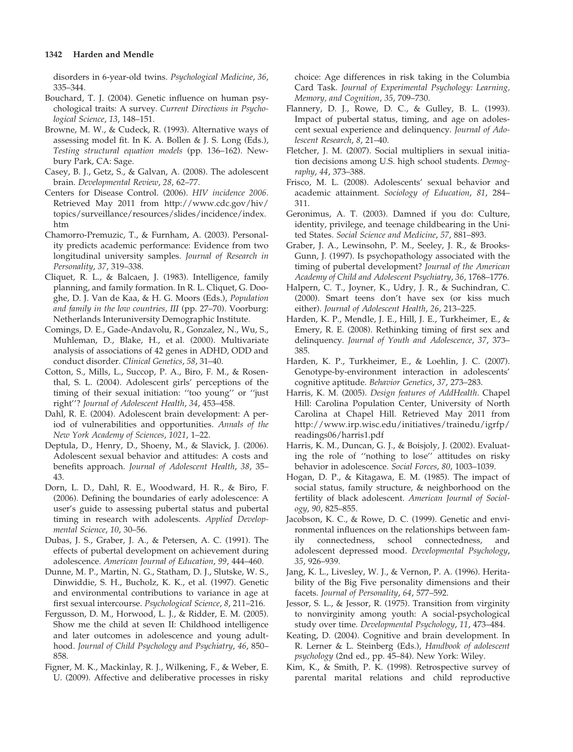#### 1342 Harden and Mendle

disorders in 6-year-old twins. Psychological Medicine, 36, 335–344.

- Bouchard, T. J. (2004). Genetic influence on human psychological traits: A survey. Current Directions in Psychological Science, 13, 148–151.
- Browne, M. W., & Cudeck, R. (1993). Alternative ways of assessing model fit. In K. A. Bollen & J. S. Long (Eds.), Testing structural equation models (pp. 136–162). Newbury Park, CA: Sage.
- Casey, B. J., Getz, S., & Galvan, A. (2008). The adolescent brain. Developmental Review, 28, 62–77.
- Centers for Disease Control. (2006). HIV incidence 2006. Retrieved May 2011 from http://www.cdc.gov/hiv/ topics/surveillance/resources/slides/incidence/index. htm
- Chamorro-Premuzic, T., & Furnham, A. (2003). Personality predicts academic performance: Evidence from two longitudinal university samples. Journal of Research in Personality, 37, 319–338.
- Cliquet, R. L., & Balcaen, J. (1983). Intelligence, family planning, and family formation. In R. L. Cliquet, G. Dooghe, D. J. Van de Kaa, & H. G. Moors (Eds.), Population and family in the low countries, III (pp. 27–70). Voorburg: Netherlands Interuniversity Demographic Institute.
- Comings, D. E., Gade-Andavolu, R., Gonzalez, N., Wu, S., Muhleman, D., Blake, H., et al. (2000). Multivariate analysis of associations of 42 genes in ADHD, ODD and conduct disorder. Clinical Genetics, 58, 31–40.
- Cotton, S., Mills, L., Succop, P. A., Biro, F. M., & Rosenthal, S. L. (2004). Adolescent girls' perceptions of the timing of their sexual initiation: ''too young'' or ''just right''? Journal of Adolescent Health, 34, 453–458.
- Dahl, R. E. (2004). Adolescent brain development: A period of vulnerabilities and opportunities. Annals of the New York Academy of Sciences, 1021, 1–22.
- Deptula, D., Henry, D., Shoeny, M., & Slavick, J. (2006). Adolescent sexual behavior and attitudes: A costs and benefits approach. Journal of Adolescent Health, 38, 35– 43.
- Dorn, L. D., Dahl, R. E., Woodward, H. R., & Biro, F. (2006). Defining the boundaries of early adolescence: A user's guide to assessing pubertal status and pubertal timing in research with adolescents. Applied Developmental Science, 10, 30–56.
- Dubas, J. S., Graber, J. A., & Petersen, A. C. (1991). The effects of pubertal development on achievement during adolescence. American Journal of Education, 99, 444–460.
- Dunne, M. P., Martin, N. G., Statham, D. J., Slutske, W. S., Dinwiddie, S. H., Bucholz, K. K., et al. (1997). Genetic and environmental contributions to variance in age at first sexual intercourse. Psychological Science, 8, 211–216.
- Fergusson, D. M., Horwood, L. J., & Ridder, E. M. (2005). Show me the child at seven II: Childhood intelligence and later outcomes in adolescence and young adulthood. Journal of Child Psychology and Psychiatry, 46, 850– 858.
- Figner, M. K., Mackinlay, R. J., Wilkening, F., & Weber, E. U. (2009). Affective and deliberative processes in risky

choice: Age differences in risk taking in the Columbia Card Task. Journal of Experimental Psychology: Learning, Memory, and Cognition, 35, 709–730.

- Flannery, D. J., Rowe, D. C., & Gulley, B. L. (1993). Impact of pubertal status, timing, and age on adolescent sexual experience and delinquency. Journal of Adolescent Research, 8, 21–40.
- Fletcher, J. M. (2007). Social multipliers in sexual initiation decisions among U.S. high school students. Demography, 44, 373–388.
- Frisco, M. L. (2008). Adolescents' sexual behavior and academic attainment. Sociology of Education, 81, 284– 311.
- Geronimus, A. T. (2003). Damned if you do: Culture, identity, privilege, and teenage childbearing in the United States. Social Science and Medicine, 57, 881–893.
- Graber, J. A., Lewinsohn, P. M., Seeley, J. R., & Brooks-Gunn, J. (1997). Is psychopathology associated with the timing of pubertal development? Journal of the American Academy of Child and Adolescent Psychiatry, 36, 1768–1776.
- Halpern, C. T., Joyner, K., Udry, J. R., & Suchindran, C. (2000). Smart teens don't have sex (or kiss much either). Journal of Adolescent Health, 26, 213–225.
- Harden, K. P., Mendle, J. E., Hill, J. E., Turkheimer, E., & Emery, R. E. (2008). Rethinking timing of first sex and delinquency. Journal of Youth and Adolescence, 37, 373– 385.
- Harden, K. P., Turkheimer, E., & Loehlin, J. C. (2007). Genotype-by-environment interaction in adolescents' cognitive aptitude. Behavior Genetics, 37, 273–283.
- Harris, K. M. (2005). Design features of AddHealth. Chapel Hill: Carolina Population Center, University of North Carolina at Chapel Hill. Retrieved May 2011 from http://www.irp.wisc.edu/initiatives/trainedu/igrfp/ readings06/harris1.pdf
- Harris, K. M., Duncan, G. J., & Boisjoly, J. (2002). Evaluating the role of ''nothing to lose'' attitudes on risky behavior in adolescence. Social Forces, 80, 1003–1039.
- Hogan, D. P., & Kitagawa, E. M. (1985). The impact of social status, family structure, & neighborhood on the fertility of black adolescent. American Journal of Sociology, 90, 825–855.
- Jacobson, K. C., & Rowe, D. C. (1999). Genetic and environmental influences on the relationships between family connectedness, school connectedness, and adolescent depressed mood. Developmental Psychology, 35, 926–939.
- Jang, K. L., Livesley, W. J., & Vernon, P. A. (1996). Heritability of the Big Five personality dimensions and their facets. Journal of Personality, 64, 577–592.
- Jessor, S. L., & Jessor, R. (1975). Transition from virginity to nonvirginity among youth: A social-psychological study over time. Developmental Psychology, 11, 473–484.
- Keating, D. (2004). Cognitive and brain development. In R. Lerner & L. Steinberg (Eds.), Handbook of adolescent psychology (2nd ed., pp. 45–84). New York: Wiley.
- Kim, K., & Smith, P. K. (1998). Retrospective survey of parental marital relations and child reproductive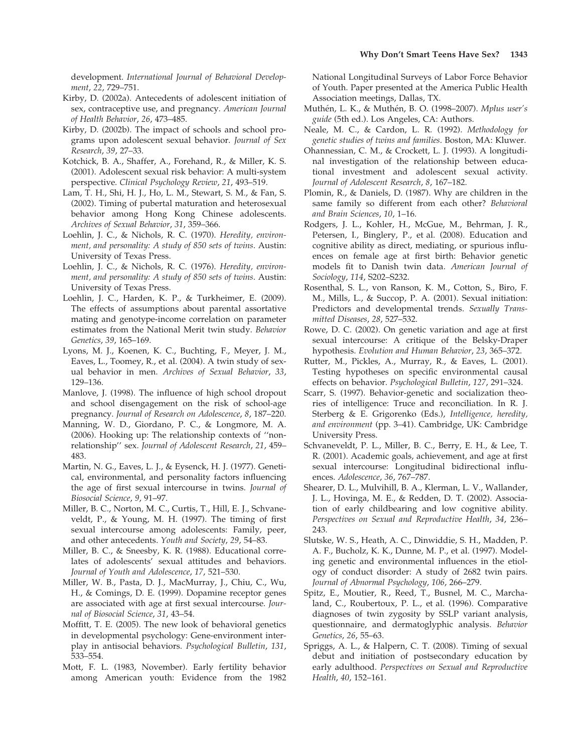development. International Journal of Behavioral Development, 22, 729–751.

- Kirby, D. (2002a). Antecedents of adolescent initiation of sex, contraceptive use, and pregnancy. American Journal of Health Behavior, 26, 473–485.
- Kirby, D. (2002b). The impact of schools and school programs upon adolescent sexual behavior. Journal of Sex Research, 39, 27–33.
- Kotchick, B. A., Shaffer, A., Forehand, R., & Miller, K. S. (2001). Adolescent sexual risk behavior: A multi-system perspective. Clinical Psychology Review, 21, 493–519.
- Lam, T. H., Shi, H. J., Ho, L. M., Stewart, S. M., & Fan, S. (2002). Timing of pubertal maturation and heterosexual behavior among Hong Kong Chinese adolescents. Archives of Sexual Behavior, 31, 359–366.
- Loehlin, J. C., & Nichols, R. C. (1970). Heredity, environment, and personality: A study of 850 sets of twins. Austin: University of Texas Press.
- Loehlin, J. C., & Nichols, R. C. (1976). Heredity, environment, and personality: A study of 850 sets of twins. Austin: University of Texas Press.
- Loehlin, J. C., Harden, K. P., & Turkheimer, E. (2009). The effects of assumptions about parental assortative mating and genotype-income correlation on parameter estimates from the National Merit twin study. Behavior Genetics, 39, 165–169.
- Lyons, M. J., Koenen, K. C., Buchting, F., Meyer, J. M., Eaves, L., Toomey, R., et al. (2004). A twin study of sexual behavior in men. Archives of Sexual Behavior, 33, 129–136.
- Manlove, J. (1998). The influence of high school dropout and school disengagement on the risk of school-age pregnancy. Journal of Research on Adolescence, 8, 187–220.
- Manning, W. D., Giordano, P. C., & Longmore, M. A. (2006). Hooking up: The relationship contexts of ''nonrelationship'' sex. Journal of Adolescent Research, 21, 459– 483.
- Martin, N. G., Eaves, L. J., & Eysenck, H. J. (1977). Genetical, environmental, and personality factors influencing the age of first sexual intercourse in twins. Journal of Biosocial Science, 9, 91–97.
- Miller, B. C., Norton, M. C., Curtis, T., Hill, E. J., Schvaneveldt, P., & Young, M. H. (1997). The timing of first sexual intercourse among adolescents: Family, peer, and other antecedents. Youth and Society, 29, 54–83.
- Miller, B. C., & Sneesby, K. R. (1988). Educational correlates of adolescents' sexual attitudes and behaviors. Journal of Youth and Adolescence, 17, 521–530.
- Miller, W. B., Pasta, D. J., MacMurray, J., Chiu, C., Wu, H., & Comings, D. E. (1999). Dopamine receptor genes are associated with age at first sexual intercourse. Journal of Biosocial Science, 31, 43–54.
- Moffitt, T. E. (2005). The new look of behavioral genetics in developmental psychology: Gene-environment interplay in antisocial behaviors. Psychological Bulletin, 131, 533–554.
- Mott, F. L. (1983, November). Early fertility behavior among American youth: Evidence from the 1982

National Longitudinal Surveys of Labor Force Behavior of Youth. Paper presented at the America Public Health Association meetings, Dallas, TX.

- Muthén, L. K., & Muthén, B. O. (1998–2007). Mplus user's guide (5th ed.). Los Angeles, CA: Authors.
- Neale, M. C., & Cardon, L. R. (1992). Methodology for genetic studies of twins and families. Boston, MA: Kluwer.
- Ohannessian, C. M., & Crockett, L. J. (1993). A longitudinal investigation of the relationship between educational investment and adolescent sexual activity. Journal of Adolescent Research, 8, 167–182.
- Plomin, R., & Daniels, D. (1987). Why are children in the same family so different from each other? Behavioral and Brain Sciences, 10, 1–16.
- Rodgers, J. L., Kohler, H., McGue, M., Behrman, J. R., Petersen, I., Binglery, P., et al. (2008). Education and cognitive ability as direct, mediating, or spurious influences on female age at first birth: Behavior genetic models fit to Danish twin data. American Journal of Sociology, 114, S202–S232.
- Rosenthal, S. L., von Ranson, K. M., Cotton, S., Biro, F. M., Mills, L., & Succop, P. A. (2001). Sexual initiation: Predictors and developmental trends. Sexually Transmitted Diseases, 28, 527–532.
- Rowe, D. C. (2002). On genetic variation and age at first sexual intercourse: A critique of the Belsky-Draper hypothesis. Evolution and Human Behavior, 23, 365–372.
- Rutter, M., Pickles, A., Murray, R., & Eaves, L. (2001). Testing hypotheses on specific environmental causal effects on behavior. Psychological Bulletin, 127, 291–324.
- Scarr, S. (1997). Behavior-genetic and socialization theories of intelligence: Truce and reconciliation. In R. J. Sterberg & E. Grigorenko (Eds.), Intelligence, heredity, and environment (pp. 3–41). Cambridge, UK: Cambridge University Press.
- Schvaneveldt, P. L., Miller, B. C., Berry, E. H., & Lee, T. R. (2001). Academic goals, achievement, and age at first sexual intercourse: Longitudinal bidirectional influences. Adolescence, 36, 767–787.
- Shearer, D. L., Mulvihill, B. A., Klerman, L. V., Wallander, J. L., Hovinga, M. E., & Redden, D. T. (2002). Association of early childbearing and low cognitive ability. Perspectives on Sexual and Reproductive Health, 34, 236– 243.
- Slutske, W. S., Heath, A. C., Dinwiddie, S. H., Madden, P. A. F., Bucholz, K. K., Dunne, M. P., et al. (1997). Modeling genetic and environmental influences in the etiology of conduct disorder: A study of 2682 twin pairs. Journal of Abnormal Psychology, 106, 266–279.
- Spitz, E., Moutier, R., Reed, T., Busnel, M. C., Marchaland, C., Roubertoux, P. L., et al. (1996). Comparative diagnoses of twin zygosity by SSLP variant analysis, questionnaire, and dermatoglyphic analysis. Behavior Genetics, 26, 55–63.
- Spriggs, A. L., & Halpern, C. T. (2008). Timing of sexual debut and initiation of postsecondary education by early adulthood. Perspectives on Sexual and Reproductive Health, 40, 152–161.